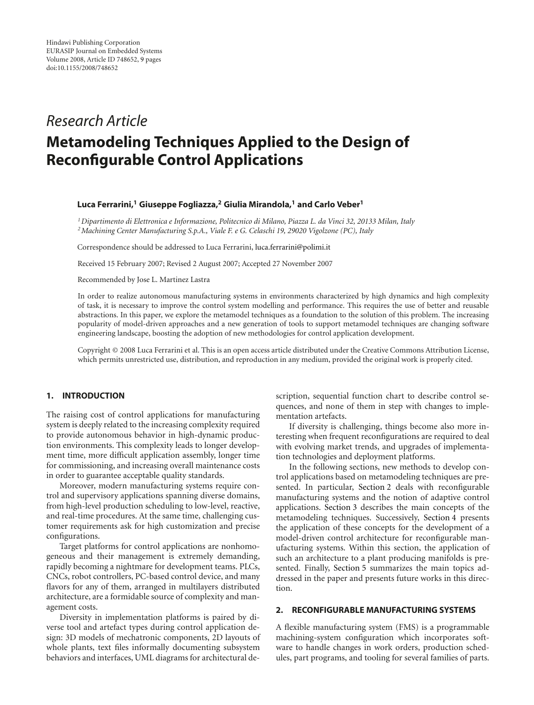# *Research Article*

# **Metamodeling Techniques Applied to the Design of Reconfigurable Control Applications**

#### **Luca Ferrarini,1 Giuseppe Fogliazza,2 Giulia Mirandola,1 and Carlo Veber1**

*1Dipartimento di Elettronica e Informazione, Politecnico di Milano, Piazza L. da Vinci 32, 20133 Milan, Italy 2Machining Center Manufacturing S.p.A., Viale F. e G. Celaschi 19, 29020 Vigolzone (PC), Italy*

Correspondence should be addressed to Luca Ferrarini, luca.ferrarini@polimi.it

Received 15 February 2007; Revised 2 August 2007; Accepted 27 November 2007

Recommended by Jose L. Martinez Lastra

In order to realize autonomous manufacturing systems in environments characterized by high dynamics and high complexity of task, it is necessary to improve the control system modelling and performance. This requires the use of better and reusable abstractions. In this paper, we explore the metamodel techniques as a foundation to the solution of this problem. The increasing popularity of model-driven approaches and a new generation of tools to support metamodel techniques are changing software engineering landscape, boosting the adoption of new methodologies for control application development.

Copyright © 2008 Luca Ferrarini et al. This is an open access article distributed under the Creative Commons Attribution License, which permits unrestricted use, distribution, and reproduction in any medium, provided the original work is properly cited.

# **1. INTRODUCTION**

The raising cost of control applications for manufacturing system is deeply related to the increasing complexity required to provide autonomous behavior in high-dynamic production environments. This complexity leads to longer development time, more difficult application assembly, longer time for commissioning, and increasing overall maintenance costs in order to guarantee acceptable quality standards.

Moreover, modern manufacturing systems require control and supervisory applications spanning diverse domains, from high-level production scheduling to low-level, reactive, and real-time procedures. At the same time, challenging customer requirements ask for high customization and precise configurations.

Target platforms for control applications are nonhomogeneous and their management is extremely demanding, rapidly becoming a nightmare for development teams. PLCs, CNCs, robot controllers, PC-based control device, and many flavors for any of them, arranged in multilayers distributed architecture, are a formidable source of complexity and management costs.

Diversity in implementation platforms is paired by diverse tool and artefact types during control application design: 3D models of mechatronic components, 2D layouts of whole plants, text files informally documenting subsystem behaviors and interfaces, UML diagrams for architectural description, sequential function chart to describe control sequences, and none of them in step with changes to implementation artefacts.

If diversity is challenging, things become also more interesting when frequent reconfigurations are required to deal with evolving market trends, and upgrades of implementation technologies and deployment platforms.

In the following sections, new methods to develop control applications based on metamodeling techniques are presented. In particular, Section 2 deals with reconfigurable manufacturing systems and the notion of adaptive control applications. Section 3 describes the main concepts of the metamodeling techniques. Successively, Section 4 presents the application of these concepts for the development of a model-driven control architecture for reconfigurable manufacturing systems. Within this section, the application of such an architecture to a plant producing manifolds is presented. Finally, Section 5 summarizes the main topics addressed in the paper and presents future works in this direction.

#### **2. RECONFIGURABLE MANUFACTURING SYSTEMS**

A flexible manufacturing system (FMS) is a programmable machining-system configuration which incorporates software to handle changes in work orders, production schedules, part programs, and tooling for several families of parts.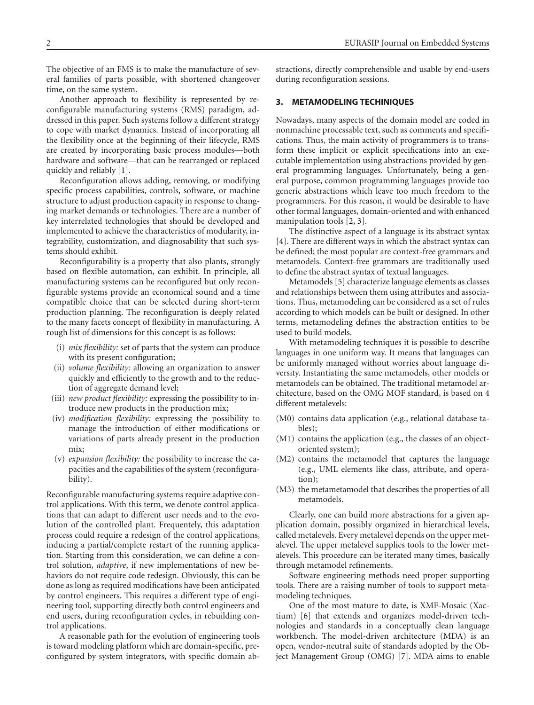The objective of an FMS is to make the manufacture of several families of parts possible, with shortened changeover time, on the same system.

Another approach to flexibility is represented by reconfigurable manufacturing systems (RMS) paradigm, addressed in this paper. Such systems follow a different strategy to cope with market dynamics. Instead of incorporating all the flexibility once at the beginning of their lifecycle, RMS are created by incorporating basic process modules—both hardware and software—that can be rearranged or replaced quickly and reliably [1].

Reconfiguration allows adding, removing, or modifying specific process capabilities, controls, software, or machine structure to adjust production capacity in response to changing market demands or technologies. There are a number of key interrelated technologies that should be developed and implemented to achieve the characteristics of modularity, integrability, customization, and diagnosability that such systems should exhibit.

Reconfigurability is a property that also plants, strongly based on flexible automation, can exhibit. In principle, all manufacturing systems can be reconfigured but only reconfigurable systems provide an economical sound and a time compatible choice that can be selected during short-term production planning. The reconfiguration is deeply related to the many facets concept of flexibility in manufacturing. A rough list of dimensions for this concept is as follows:

- (i) *mix flexibility:* set of parts that the system can produce with its present configuration;
- (ii) *volume flexibility:* allowing an organization to answer quickly and efficiently to the growth and to the reduction of aggregate demand level;
- (iii) *new product flexibility:* expressing the possibility to introduce new products in the production mix;
- (iv) *modification flexibility:* expressing the possibility to manage the introduction of either modifications or variations of parts already present in the production mix;
- (v) *expansion flexibility:* the possibility to increase the capacities and the capabilities of the system (reconfigurability).

Reconfigurable manufacturing systems require adaptive control applications. With this term, we denote control applications that can adapt to different user needs and to the evolution of the controlled plant. Frequentely, this adaptation process could require a redesign of the control applications, inducing a partial/complete restart of the running application. Starting from this consideration, we can define a control solution, *adaptive*, if new implementations of new behaviors do not require code redesign. Obviously, this can be done as long as required modifications have been anticipated by control engineers. This requires a different type of engineering tool, supporting directly both control engineers and end users, during reconfiguration cycles, in rebuilding control applications.

A reasonable path for the evolution of engineering tools is toward modeling platform which are domain-specific, preconfigured by system integrators, with specific domain abstractions, directly comprehensible and usable by end-users during reconfiguration sessions.

## **3. METAMODELING TECHINIQUES**

Nowadays, many aspects of the domain model are coded in nonmachine processable text, such as comments and specifications. Thus, the main activity of programmers is to transform these implicit or explicit specifications into an executable implementation using abstractions provided by general programming languages. Unfortunately, being a general purpose, common programming languages provide too generic abstractions which leave too much freedom to the programmers. For this reason, it would be desirable to have other formal languages, domain-oriented and with enhanced manipulation tools [2, 3].

The distinctive aspect of a language is its abstract syntax [4]. There are different ways in which the abstract syntax can be defined; the most popular are context-free grammars and metamodels. Context-free grammars are traditionally used to define the abstract syntax of textual languages.

Metamodels [5] characterize language elements as classes and relationships between them using attributes and associations. Thus, metamodeling can be considered as a set of rules according to which models can be built or designed. In other terms, metamodeling defines the abstraction entities to be used to build models.

With metamodeling techniques it is possible to describe languages in one uniform way. It means that languages can be uniformly managed without worries about language diversity. Instantiating the same metamodels, other models or metamodels can be obtained. The traditional metamodel architecture, based on the OMG MOF standard, is based on 4 different metalevels:

- (M0) contains data application (e.g., relational database tables);
- (M1) contains the application (e.g., the classes of an objectoriented system);
- (M2) contains the metamodel that captures the language (e.g., UML elements like class, attribute, and operation);
- (M3) the metametamodel that describes the properties of all metamodels.

Clearly, one can build more abstractions for a given application domain, possibly organized in hierarchical levels, called metalevels. Every metalevel depends on the upper metalevel. The upper metalevel supplies tools to the lower metalevels. This procedure can be iterated many times, basically through metamodel refinements.

Software engineering methods need proper supporting tools. There are a raising number of tools to support metamodeling techniques.

One of the most mature to date, is XMF-Mosaic (Xactium) [6] that extends and organizes model-driven technologies and standards in a conceptually clean language workbench. The model-driven architecture (MDA) is an open, vendor-neutral suite of standards adopted by the Object Management Group (OMG) [7]. MDA aims to enable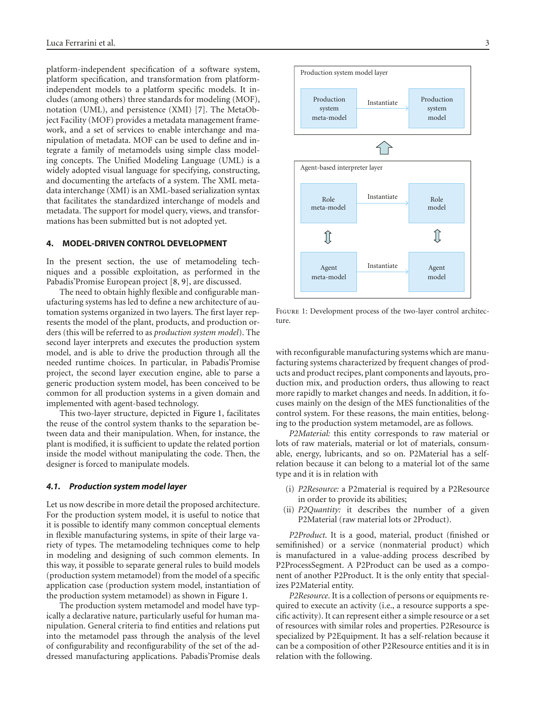platform-independent specification of a software system, platform specification, and transformation from platformindependent models to a platform specific models. It includes (among others) three standards for modeling (MOF), notation (UML), and persistence (XMI) [7]. The MetaObject Facility (MOF) provides a metadata management framework, and a set of services to enable interchange and manipulation of metadata. MOF can be used to define and integrate a family of metamodels using simple class modeling concepts. The Unified Modeling Language (UML) is a widely adopted visual language for specifying, constructing, and documenting the artefacts of a system. The XML metadata interchange (XMI) is an XML-based serialization syntax that facilitates the standardized interchange of models and metadata. The support for model query, views, and transformations has been submitted but is not adopted yet.

### **4. MODEL-DRIVEN CONTROL DEVELOPMENT**

In the present section, the use of metamodeling techniques and a possible exploitation, as performed in the Pabadis'Promise European project [8, 9], are discussed.

The need to obtain highly flexible and configurable manufacturing systems has led to define a new architecture of automation systems organized in two layers. The first layer represents the model of the plant, products, and production orders (this will be referred to as *production system model*). The second layer interprets and executes the production system model, and is able to drive the production through all the needed runtime choices. In particular, in Pabadis'Promise project, the second layer execution engine, able to parse a generic production system model, has been conceived to be common for all production systems in a given domain and implemented with agent-based technology.

This two-layer structure, depicted in Figure 1, facilitates the reuse of the control system thanks to the separation between data and their manipulation. When, for instance, the plant is modified, it is sufficient to update the related portion inside the model without manipulating the code. Then, the designer is forced to manipulate models.

#### *4.1. Production system model layer*

Let us now describe in more detail the proposed architecture. For the production system model, it is useful to notice that it is possible to identify many common conceptual elements in flexible manufacturing systems, in spite of their large variety of types. The metamodeling techniques come to help in modeling and designing of such common elements. In this way, it possible to separate general rules to build models (production system metamodel) from the model of a specific application case (production system model, instantiation of the production system metamodel) as shown in Figure 1.

The production system metamodel and model have typically a declarative nature, particularly useful for human manipulation. General criteria to find entities and relations put into the metamodel pass through the analysis of the level of configurability and reconfigurability of the set of the addressed manufacturing applications. Pabadis'Promise deals





FIGURE 1: Development process of the two-layer control architecture.

with reconfigurable manufacturing systems which are manufacturing systems characterized by frequent changes of products and product recipes, plant components and layouts, production mix, and production orders, thus allowing to react more rapidly to market changes and needs. In addition, it focuses mainly on the design of the MES functionalities of the control system. For these reasons, the main entities, belonging to the production system metamodel, are as follows.

*P2Material:* this entity corresponds to raw material or lots of raw materials, material or lot of materials, consumable, energy, lubricants, and so on. P2Material has a selfrelation because it can belong to a material lot of the same type and it is in relation with

- (i) *P2Resource:* a P2material is required by a P2Resource in order to provide its abilities;
- (ii) *P2Quantity:* it describes the number of a given P2Material (raw material lots or 2Product).

*P2Product*. It is a good, material, product (finished or semifinished) or a service (nonmaterial product) which is manufactured in a value-adding process described by P2ProcessSegment. A P2Product can be used as a component of another P2Product. It is the only entity that specializes P2Material entity.

*P2Resource*. It is a collection of persons or equipments required to execute an activity (i.e., a resource supports a specific activity). It can represent either a simple resource or a set of resources with similar roles and properties. P2Resource is specialized by P2Equipment. It has a self-relation because it can be a composition of other P2Resource entities and it is in relation with the following.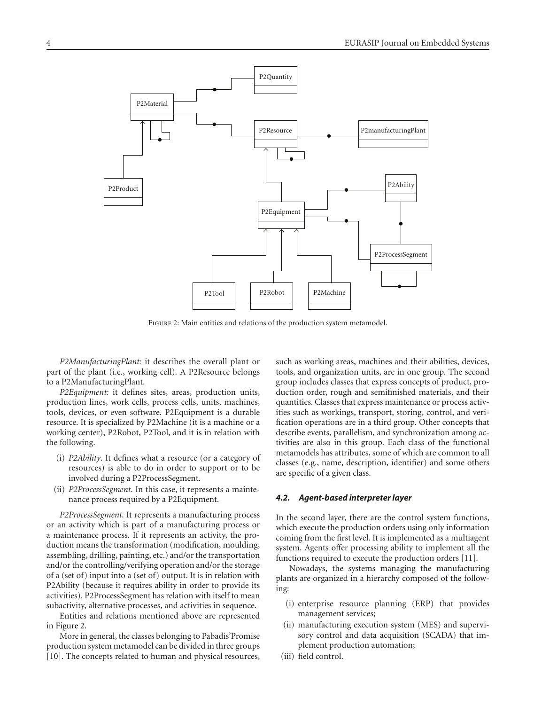

Figure 2: Main entities and relations of the production system metamodel.

*P2ManufacturingPlant:* it describes the overall plant or part of the plant (i.e., working cell). A P2Resource belongs to a P2ManufacturingPlant.

*P2Equipment:* it defines sites, areas, production units, production lines, work cells, process cells, units, machines, tools, devices, or even software. P2Equipment is a durable resource. It is specialized by P2Machine (it is a machine or a working center), P2Robot, P2Tool, and it is in relation with the following.

- (i) *P2Ability*. It defines what a resource (or a category of resources) is able to do in order to support or to be involved during a P2ProcessSegment.
- (ii) *P2ProcessSegment*. In this case, it represents a maintenance process required by a P2Equipment.

*P2ProcessSegment*. It represents a manufacturing process or an activity which is part of a manufacturing process or a maintenance process. If it represents an activity, the production means the transformation (modification, moulding, assembling, drilling, painting, etc.) and/or the transportation and/or the controlling/verifying operation and/or the storage of a (set of) input into a (set of) output. It is in relation with P2Ability (because it requires ability in order to provide its activities). P2ProcessSegment has relation with itself to mean subactivity, alternative processes, and activities in sequence.

Entities and relations mentioned above are represented in Figure 2.

More in general, the classes belonging to Pabadis'Promise production system metamodel can be divided in three groups [10]. The concepts related to human and physical resources,

such as working areas, machines and their abilities, devices, tools, and organization units, are in one group. The second group includes classes that express concepts of product, production order, rough and semifinished materials, and their quantities. Classes that express maintenance or process activities such as workings, transport, storing, control, and verification operations are in a third group. Other concepts that describe events, parallelism, and synchronization among activities are also in this group. Each class of the functional metamodels has attributes, some of which are common to all classes (e.g., name, description, identifier) and some others are specific of a given class.

#### *4.2. Agent-based interpreter layer*

In the second layer, there are the control system functions, which execute the production orders using only information coming from the first level. It is implemented as a multiagent system. Agents offer processing ability to implement all the functions required to execute the production orders [11].

Nowadays, the systems managing the manufacturing plants are organized in a hierarchy composed of the following:

- (i) enterprise resource planning (ERP) that provides management services;
- (ii) manufacturing execution system (MES) and supervisory control and data acquisition (SCADA) that implement production automation;
- (iii) field control.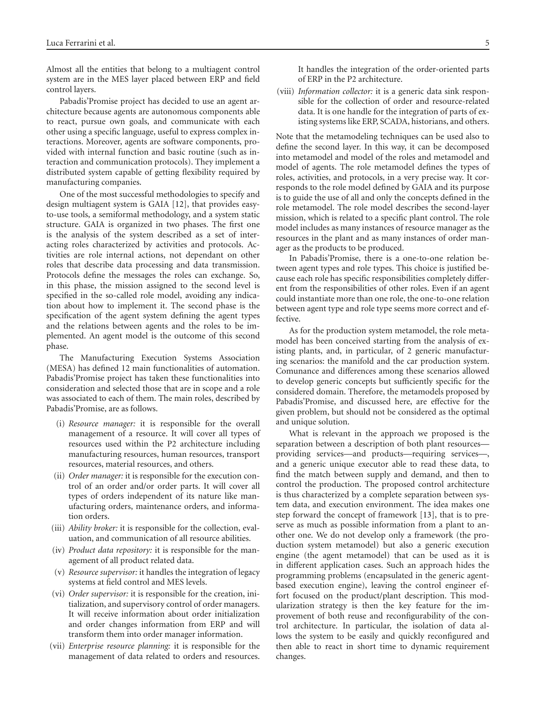Almost all the entities that belong to a multiagent control system are in the MES layer placed between ERP and field control layers.

Pabadis'Promise project has decided to use an agent architecture because agents are autonomous components able to react, pursue own goals, and communicate with each other using a specific language, useful to express complex interactions. Moreover, agents are software components, provided with internal function and basic routine (such as interaction and communication protocols). They implement a distributed system capable of getting flexibility required by manufacturing companies.

One of the most successful methodologies to specify and design multiagent system is GAIA [12], that provides easyto-use tools, a semiformal methodology, and a system static structure. GAIA is organized in two phases. The first one is the analysis of the system described as a set of interacting roles characterized by activities and protocols. Activities are role internal actions, not dependant on other roles that describe data processing and data transmission. Protocols define the messages the roles can exchange. So, in this phase, the mission assigned to the second level is specified in the so-called role model, avoiding any indication about how to implement it. The second phase is the specification of the agent system defining the agent types and the relations between agents and the roles to be implemented. An agent model is the outcome of this second phase.

The Manufacturing Execution Systems Association (MESA) has defined 12 main functionalities of automation. Pabadis'Promise project has taken these functionalities into consideration and selected those that are in scope and a role was associated to each of them. The main roles, described by Pabadis'Promise, are as follows.

- (i) *Resource manager:* it is responsible for the overall management of a resource. It will cover all types of resources used within the P2 architecture including manufacturing resources, human resources, transport resources, material resources, and others.
- (ii) *Order manager:* it is responsible for the execution control of an order and/or order parts. It will cover all types of orders independent of its nature like manufacturing orders, maintenance orders, and information orders.
- (iii) *Ability broker:* it is responsible for the collection, evaluation, and communication of all resource abilities.
- (iv) *Product data repository:* it is responsible for the management of all product related data.
- (v) *Resource supervisor:* it handles the integration of legacy systems at field control and MES levels.
- (vi) *Order supervisor:* it is responsible for the creation, initialization, and supervisory control of order managers. It will receive information about order initialization and order changes information from ERP and will transform them into order manager information.
- (vii) *Enterprise resource planning:* it is responsible for the management of data related to orders and resources.

It handles the integration of the order-oriented parts of ERP in the P2 architecture.

(viii) *Information collector:* it is a generic data sink responsible for the collection of order and resource-related data. It is one handle for the integration of parts of existing systems like ERP, SCADA, historians, and others.

Note that the metamodeling techniques can be used also to define the second layer. In this way, it can be decomposed into metamodel and model of the roles and metamodel and model of agents. The role metamodel defines the types of roles, activities, and protocols, in a very precise way. It corresponds to the role model defined by GAIA and its purpose is to guide the use of all and only the concepts defined in the role metamodel. The role model describes the second-layer mission, which is related to a specific plant control. The role model includes as many instances of resource manager as the resources in the plant and as many instances of order manager as the products to be produced.

In Pabadis'Promise, there is a one-to-one relation between agent types and role types. This choice is justified because each role has specific responsibilities completely different from the responsibilities of other roles. Even if an agent could instantiate more than one role, the one-to-one relation between agent type and role type seems more correct and effective.

As for the production system metamodel, the role metamodel has been conceived starting from the analysis of existing plants, and, in particular, of 2 generic manufacturing scenarios: the manifold and the car production system. Comunance and differences among these scenarios allowed to develop generic concepts but sufficiently specific for the considered domain. Therefore, the metamodels proposed by Pabadis'Promise, and discussed here, are effective for the given problem, but should not be considered as the optimal and unique solution.

What is relevant in the approach we proposed is the separation between a description of both plant resources providing services—and products—requiring services—, and a generic unique executor able to read these data, to find the match between supply and demand, and then to control the production. The proposed control architecture is thus characterized by a complete separation between system data, and execution environment. The idea makes one step forward the concept of framework [13], that is to preserve as much as possible information from a plant to another one. We do not develop only a framework (the production system metamodel) but also a generic execution engine (the agent metamodel) that can be used as it is in different application cases. Such an approach hides the programming problems (encapsulated in the generic agentbased execution engine), leaving the control engineer effort focused on the product/plant description. This modularization strategy is then the key feature for the improvement of both reuse and reconfigurability of the control architecture. In particular, the isolation of data allows the system to be easily and quickly reconfigured and then able to react in short time to dynamic requirement changes.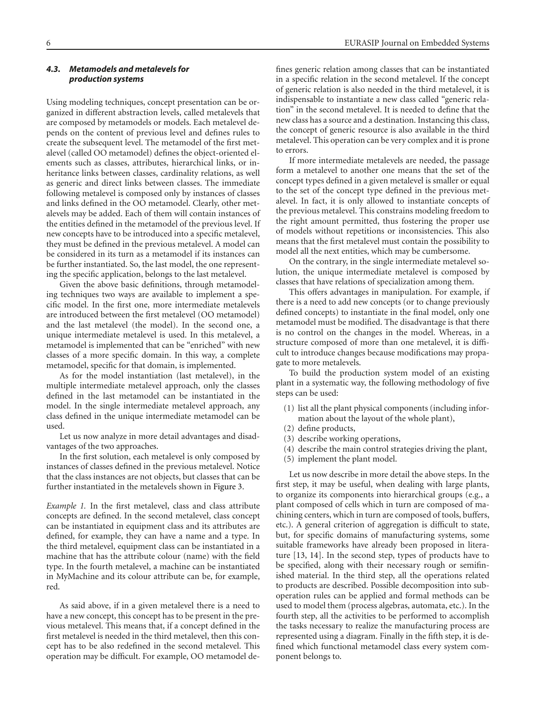# *4.3. Metamodels and metalevels for production systems*

Using modeling techniques, concept presentation can be organized in different abstraction levels, called metalevels that are composed by metamodels or models. Each metalevel depends on the content of previous level and defines rules to create the subsequent level. The metamodel of the first metalevel (called OO metamodel) defines the object-oriented elements such as classes, attributes, hierarchical links, or inheritance links between classes, cardinality relations, as well as generic and direct links between classes. The immediate following metalevel is composed only by instances of classes and links defined in the OO metamodel. Clearly, other metalevels may be added. Each of them will contain instances of the entities defined in the metamodel of the previous level. If new concepts have to be introduced into a specific metalevel, they must be defined in the previous metalevel. A model can be considered in its turn as a metamodel if its instances can be further instantiated. So, the last model, the one representing the specific application, belongs to the last metalevel.

Given the above basic definitions, through metamodeling techniques two ways are available to implement a specific model. In the first one, more intermediate metalevels are introduced between the first metalevel (OO metamodel) and the last metalevel (the model). In the second one, a unique intermediate metalevel is used. In this metalevel, a metamodel is implemented that can be "enriched" with new classes of a more specific domain. In this way, a complete metamodel, specific for that domain, is implemented.

As for the model instantiation (last metalevel), in the multiple intermediate metalevel approach, only the classes defined in the last metamodel can be instantiated in the model. In the single intermediate metalevel approach, any class defined in the unique intermediate metamodel can be used.

Let us now analyze in more detail advantages and disadvantages of the two approaches.

In the first solution, each metalevel is only composed by instances of classes defined in the previous metalevel. Notice that the class instances are not objects, but classes that can be further instantiated in the metalevels shown in Figure 3.

*Example 1.* In the first metalevel, class and class attribute concepts are defined. In the second metalevel, class concept can be instantiated in equipment class and its attributes are defined, for example, they can have a name and a type. In the third metalevel, equipment class can be instantiated in a machine that has the attribute colour (name) with the field type. In the fourth metalevel, a machine can be instantiated in MyMachine and its colour attribute can be, for example, red.

As said above, if in a given metalevel there is a need to have a new concept, this concept has to be present in the previous metalevel. This means that, if a concept defined in the first metalevel is needed in the third metalevel, then this concept has to be also redefined in the second metalevel. This operation may be difficult. For example, OO metamodel defines generic relation among classes that can be instantiated in a specific relation in the second metalevel. If the concept of generic relation is also needed in the third metalevel, it is indispensable to instantiate a new class called "generic relation" in the second metalevel. It is needed to define that the new class has a source and a destination. Instancing this class, the concept of generic resource is also available in the third metalevel. This operation can be very complex and it is prone to errors.

If more intermediate metalevels are needed, the passage form a metalevel to another one means that the set of the concept types defined in a given metalevel is smaller or equal to the set of the concept type defined in the previous metalevel. In fact, it is only allowed to instantiate concepts of the previous metalevel. This constrains modeling freedom to the right amount permitted, thus fostering the proper use of models without repetitions or inconsistencies. This also means that the first metalevel must contain the possibility to model all the next entities, which may be cumbersome.

On the contrary, in the single intermediate metalevel solution, the unique intermediate metalevel is composed by classes that have relations of specialization among them.

This offers advantages in manipulation. For example, if there is a need to add new concepts (or to change previously defined concepts) to instantiate in the final model, only one metamodel must be modified. The disadvantage is that there is no control on the changes in the model. Whereas, in a structure composed of more than one metalevel, it is difficult to introduce changes because modifications may propagate to more metalevels.

To build the production system model of an existing plant in a systematic way, the following methodology of five steps can be used:

- (1) list all the plant physical components (including information about the layout of the whole plant),
- (2) define products,
- (3) describe working operations,
- (4) describe the main control strategies driving the plant,
- (5) implement the plant model.

Let us now describe in more detail the above steps. In the first step, it may be useful, when dealing with large plants, to organize its components into hierarchical groups (e.g., a plant composed of cells which in turn are composed of machining centers, which in turn are composed of tools, buffers, etc.). A general criterion of aggregation is difficult to state, but, for specific domains of manufacturing systems, some suitable frameworks have already been proposed in literature [13, 14]. In the second step, types of products have to be specified, along with their necessary rough or semifinished material. In the third step, all the operations related to products are described. Possible decomposition into suboperation rules can be applied and formal methods can be used to model them (process algebras, automata, etc.). In the fourth step, all the activities to be performed to accomplish the tasks necessary to realize the manufacturing process are represented using a diagram. Finally in the fifth step, it is defined which functional metamodel class every system component belongs to.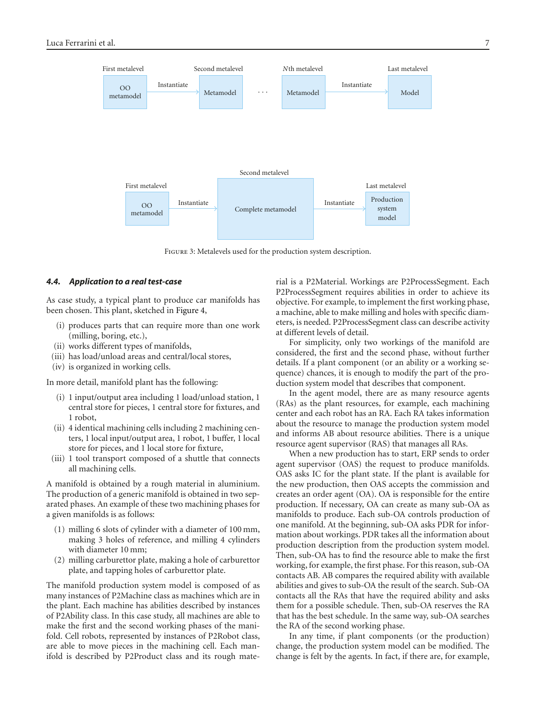

Figure 3: Metalevels used for the production system description.

#### *4.4. Application to a real test-case*

As case study, a typical plant to produce car manifolds has been chosen. This plant, sketched in Figure 4,

- (i) produces parts that can require more than one work (milling, boring, etc.),
- (ii) works different types of manifolds,
- (iii) has load/unload areas and central/local stores,
- (iv) is organized in working cells.

In more detail, manifold plant has the following:

- (i) 1 input/output area including 1 load/unload station, 1 central store for pieces, 1 central store for fixtures, and 1 robot,
- (ii) 4 identical machining cells including 2 machining centers, 1 local input/output area, 1 robot, 1 buffer, 1 local store for pieces, and 1 local store for fixture,
- (iii) 1 tool transport composed of a shuttle that connects all machining cells.

A manifold is obtained by a rough material in aluminium. The production of a generic manifold is obtained in two separated phases. An example of these two machining phases for a given manifolds is as follows:

- (1) milling 6 slots of cylinder with a diameter of 100 mm, making 3 holes of reference, and milling 4 cylinders with diameter 10 mm;
- (2) milling carburettor plate, making a hole of carburettor plate, and tapping holes of carburettor plate.

The manifold production system model is composed of as many instances of P2Machine class as machines which are in the plant. Each machine has abilities described by instances of P2Ability class. In this case study, all machines are able to make the first and the second working phases of the manifold. Cell robots, represented by instances of P2Robot class, are able to move pieces in the machining cell. Each manifold is described by P2Product class and its rough material is a P2Material. Workings are P2ProcessSegment. Each P2ProcessSegment requires abilities in order to achieve its objective. For example, to implement the first working phase, a machine, able to make milling and holes with specific diameters, is needed. P2ProcessSegment class can describe activity at different levels of detail.

For simplicity, only two workings of the manifold are considered, the first and the second phase, without further details. If a plant component (or an ability or a working sequence) chances, it is enough to modify the part of the production system model that describes that component.

In the agent model, there are as many resource agents (RAs) as the plant resources, for example, each machining center and each robot has an RA. Each RA takes information about the resource to manage the production system model and informs AB about resource abilities. There is a unique resource agent supervisor (RAS) that manages all RAs.

When a new production has to start, ERP sends to order agent supervisor (OAS) the request to produce manifolds. OAS asks IC for the plant state. If the plant is available for the new production, then OAS accepts the commission and creates an order agent (OA). OA is responsible for the entire production. If necessary, OA can create as many sub-OA as manifolds to produce. Each sub-OA controls production of one manifold. At the beginning, sub-OA asks PDR for information about workings. PDR takes all the information about production description from the production system model. Then, sub-OA has to find the resource able to make the first working, for example, the first phase. For this reason, sub-OA contacts AB. AB compares the required ability with available abilities and gives to sub-OA the result of the search. Sub-OA contacts all the RAs that have the required ability and asks them for a possible schedule. Then, sub-OA reserves the RA that has the best schedule. In the same way, sub-OA searches the RA of the second working phase.

In any time, if plant components (or the production) change, the production system model can be modified. The change is felt by the agents. In fact, if there are, for example,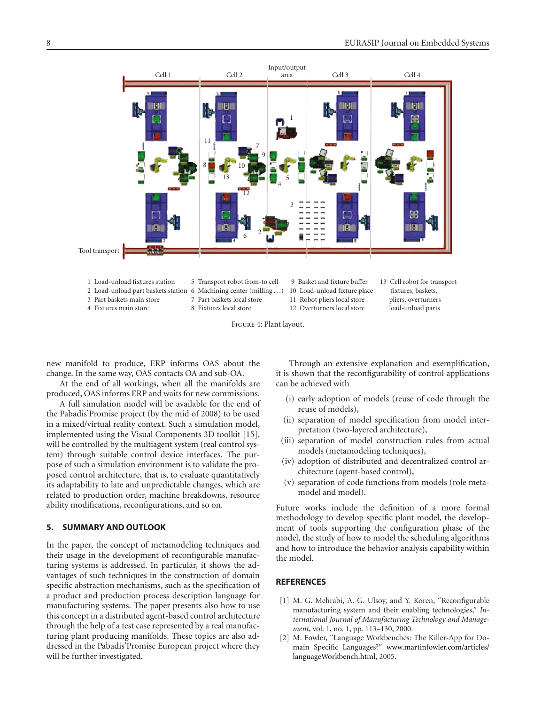

Figure 4: Plant layout.

new manifold to produce, ERP informs OAS about the change. In the same way, OAS contacts OA and sub-OA.

At the end of all workings, when all the manifolds are produced, OAS informs ERP and waits for new commissions.

A full simulation model will be available for the end of the Pabadis'Promise project (by the mid of 2008) to be used in a mixed/virtual reality context. Such a simulation model, implemented using the Visual Components 3D toolkit [15], will be controlled by the multiagent system (real control system) through suitable control device interfaces. The purpose of such a simulation environment is to validate the proposed control architecture, that is, to evaluate quantitatively its adaptability to late and unpredictable changes, which are related to production order, machine breakdowns, resource ability modifications, reconfigurations, and so on.

# **5. SUMMARY AND OUTLOOK**

In the paper, the concept of metamodeling techniques and their usage in the development of reconfigurable manufacturing systems is addressed. In particular, it shows the advantages of such techniques in the construction of domain specific abstraction mechanisms, such as the specification of a product and production process description language for manufacturing systems. The paper presents also how to use this concept in a distributed agent-based control architecture through the help of a test case represented by a real manufacturing plant producing manifolds. These topics are also addressed in the Pabadis'Promise European project where they will be further investigated.

Through an extensive explanation and exemplification, it is shown that the reconfigurability of control applications can be achieved with

- (i) early adoption of models (reuse of code through the reuse of models),
- (ii) separation of model specification from model interpretation (two-layered architecture),
- (iii) separation of model construction rules from actual models (metamodeling techniques),
- (iv) adoption of distributed and decentralized control architecture (agent-based control),
- (v) separation of code functions from models (role metamodel and model).

Future works include the definition of a more formal methodology to develop specific plant model, the development of tools supporting the configuration phase of the model, the study of how to model the scheduling algorithms and how to introduce the behavior analysis capability within the model.

# **REFERENCES**

- [1] M. G. Mehrabi, A. G. Ulsoy, and Y. Koren, "Reconfigurable manufacturing system and their enabling technologies," *International Journal of Manufacturing Technology and Management*, vol. 1, no. 1, pp. 113–130, 2000.
- [2] M. Fowler, "Language Workbenches: The Killer-App for Domain Specific Languages?" www.martinfowler.com/articles/ languageWorkbench.html, 2005.